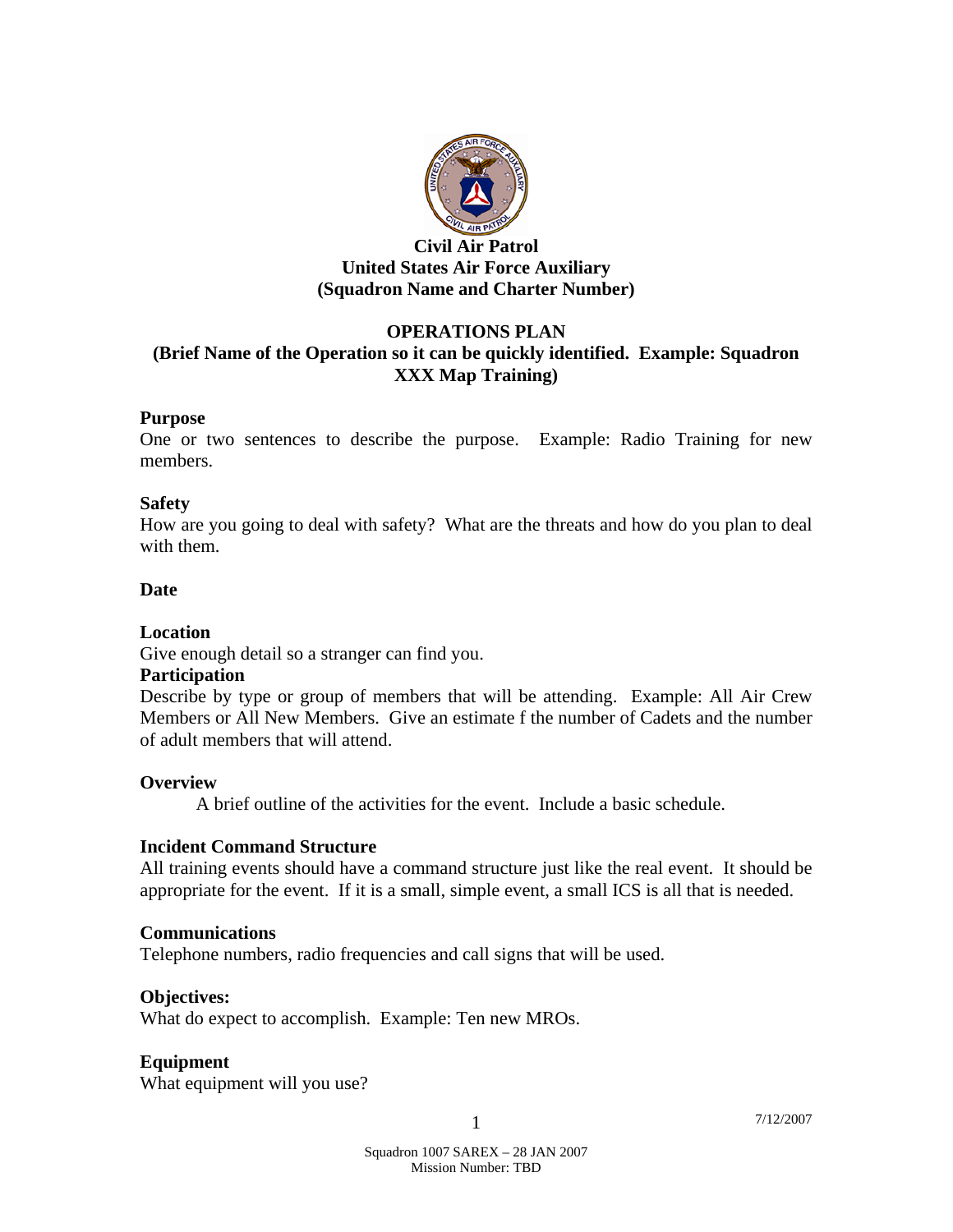

#### **Civil Air Patrol United States Air Force Auxiliary (Squadron Name and Charter Number)**

## **OPERATIONS PLAN**

# **(Brief Name of the Operation so it can be quickly identified. Example: Squadron XXX Map Training)**

#### **Purpose**

One or two sentences to describe the purpose. Example: Radio Training for new members.

## **Safety**

How are you going to deal with safety? What are the threats and how do you plan to deal with them.

# **Date**

## **Location**

Give enough detail so a stranger can find you.

## **Participation**

Describe by type or group of members that will be attending. Example: All Air Crew Members or All New Members. Give an estimate f the number of Cadets and the number of adult members that will attend.

## **Overview**

A brief outline of the activities for the event. Include a basic schedule.

## **Incident Command Structure**

All training events should have a command structure just like the real event. It should be appropriate for the event. If it is a small, simple event, a small ICS is all that is needed.

## **Communications**

Telephone numbers, radio frequencies and call signs that will be used.

## **Objectives:**

What do expect to accomplish. Example: Ten new MROs.

## **Equipment**

What equipment will you use?